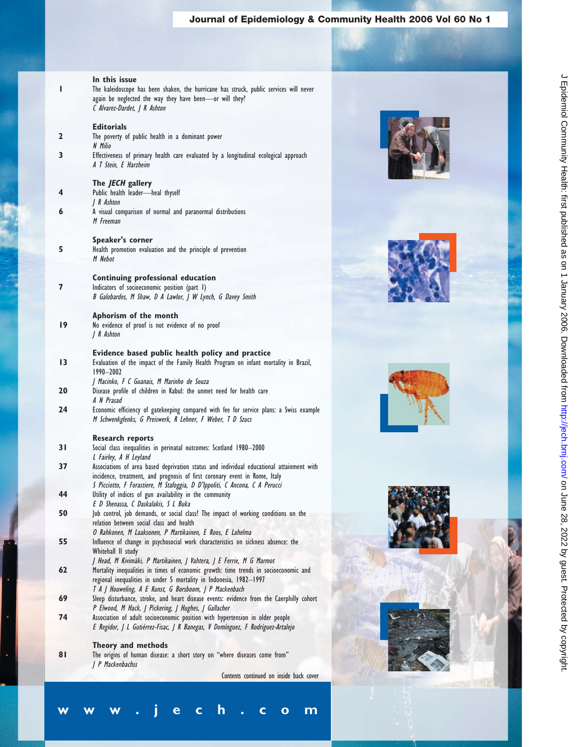## **Journal of Epidemiology & Community Health 2006 Vol 60 No 1**

### **In this issue**

| The kaleidoscope has been shaken, the hurricane has struck, public services will never |
|----------------------------------------------------------------------------------------|
| again be neglected the way they have been—or will they?                                |
| C Alvarez-Dardet,   R Ashton                                                           |

| 2  | <b>Editorials</b><br>The poverty of public health in a dominant power<br>N Milio                                                                             |
|----|--------------------------------------------------------------------------------------------------------------------------------------------------------------|
| 3  | Effectiveness of primary health care evaluated by a longitudinal ecological approach<br>A T Stein, E Harzheim                                                |
|    | The JECH gallery                                                                                                                                             |
| 4  | Public health leader-heal thyself<br>  R Ashton                                                                                                              |
| 6  | A visual comparison of normal and paranormal distributions<br>M Freeman                                                                                      |
|    | Speaker's corner                                                                                                                                             |
| 5  | Health promotion evaluation and the principle of prevention<br>M Nebot                                                                                       |
|    | Continuing professional education                                                                                                                            |
| 7  | Indicators of socioeconomic position (part I)                                                                                                                |
|    | B Galobardes, M Shaw, D A Lawlor, J W Lynch, G Davey Smith                                                                                                   |
|    | Aphorism of the month                                                                                                                                        |
| 19 | No evidence of proof is not evidence of no proof                                                                                                             |
|    | R Ashton                                                                                                                                                     |
|    | Evidence based public health policy and practice                                                                                                             |
| 13 | Evaluation of the impact of the Family Health Program on infant mortality in Brazil,<br>$1990 - 2002$                                                        |
| 20 | J Macinko, F C Guanais, M Marinho de Souza<br>Disease profile of children in Kabul: the unmet need for health care                                           |
|    | A N Prasad                                                                                                                                                   |
| 24 | Economic efficiency of gatekeeping compared with fee for service plans: a Swiss example<br>M Schwenkglenks, G Preiswerk, R Lehner, F Weber, T D Szucs        |
|    | <b>Research reports</b>                                                                                                                                      |
| 31 | Social class inequalities in perinatal outcomes: Scotland 1980-2000                                                                                          |
| 37 | L Fairley, A H Leyland<br>Associations of area based deprivation status and individual educational attainment with                                           |
|    | incidence, treatment, and prognosis of first coronary event in Rome, Italy<br>S Picciotto, F Forastiere, M Stafoggia, D D'Ippoliti, C Ancona, C A Perucci    |
| 44 | Utility of indices of gun availability in the community                                                                                                      |
| 50 | E D Shenassa, C Daskalakis, S L Buka<br>Job control, job demands, or social class? The impact of working conditions on the                                   |
|    | relation between social class and health                                                                                                                     |
|    | O Rahkonen, M Laaksonen, P Martikainen, E Roos, E Lahelma                                                                                                    |
| 55 | Influence of change in psychosocial work characteristics on sickness absence: the<br>Whitehall II study                                                      |
| 62 | J Head, M Kivimäki, P Martikainen, J Vahtera, J E Ferrie, M G Marmot<br>Mortality inequalities in times of economic growth: time trends in socioeconomic and |
|    | regional inequalities in under 5 mortality in Indonesia, 1982-1997                                                                                           |
| 69 | T A J Houweling, A E Kunst, G Borsboom, J P Mackenbach<br>Sleep disturbance, stroke, and heart disease events: evidence from the Caerphilly cohort           |
|    | P Elwood, M Hack, J Pickering, J Hughes, J Gallacher                                                                                                         |
| 74 | Association of adult socioeconomic position with hypertension in older people                                                                                |
|    | E Regidor, J L Gutiérrez-Fisac, J R Banegas, V Domínguez, F Rodríguez-Artalejo                                                                               |

### **Theory and methods**

**81** The origins of human disease: a short story on "where diseases come from" J P Mackenbachss

**www.jech.com**

Contents continued on inside back cover







J Epidemiol Community Health: first published as on 1 January 2006. Downloaded from http://jech.bm/ on June 28, 2022 by guest. Protected by copyright. on June 28, 2022 by guest. Protected by copyright. <http://jech.bmj.com/> J Epidemiol Community Health: first published as on 1 January 2006. Downloaded from